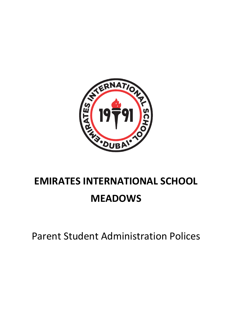

# **EMIRATES INTERNATIONAL SCHOOL MEADOWS**

Parent Student Administration Polices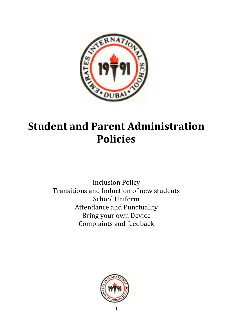

## **Student and Parent Administration Policies**

Inclusion Policy Transitions and Induction of new students School Uniform Attendance and Punctuality Bring your own Device Complaints and feedback

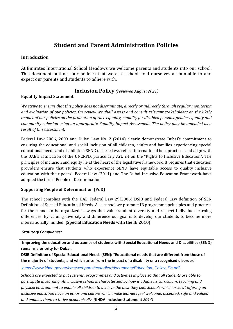## **Student and Parent Administration Policies**

#### **Introduction**

At Emirates International School Meadows we welcome parents and students into our school. This document outlines our policies that we as a school hold ourselves accountable to and expect our parents and students to adhere with.

### **Inclusion Policy** *(reviewed August 2021)*

#### **Equality Impact Statement**

*We strive to ensure that this policy does not discriminate, directly or indirectly through regular monitoring and evaluation of our policies. On review we shall assess and consult relevant stakeholders on the likely impact of our policies on the promotion of race equality, equality for disabled persons, gender equality and community cohesion using an appropriate Equality Impact Assessment. The policy may be amended as a result of this assessment.*

Federal Law 2006, 2009 and Dubai Law No. 2 (2014) clearly demonstrate Dubai's commitment to ensuring the educational and social inclusion of all children, adults and families experiencing special educational needs and disabilities (SEND). These laws reflect international best practices and align with the UAE's ratification of the UNCRPD, particularly Art. 24 on the "Rights to Inclusive Education". The principles of inclusion and equity lie at the heart of the legislative framework. It requires that education providers ensure that students who experience SEND have equitable access to quality inclusive education with their peers. Federal law (2014) and The Dubai Inclusive Education Framework have adopted the term ''People of Determination''

#### **Supporting People of Determination (PoD)**

The school complies with the UAE Federal Law 29(2006) DSIB and Federal Law definition of SEN Definition of Special Educational Needs. As a school we promote IB programme principles and practices for the school to be organized in ways that value student diversity and respect individual learning differences. By valuing diversity and difference our goal is to develop our students to become more internationally minded**. (Special Education Needs with the IB 2010)**

#### *Statutory Compliance:*

**Improving the education and outcomes of students with Special Educational Needs and Disabilities (SEND) remains a priority for Dubai.** 

**DSIB Definition of Special Educational Needs (SEN): "Educational needs that are different from those of the majority of students, and which arise from the impact of a disability or a recognised disorder.'**

#### *[https://www.khda.gov.ae/cms/webparts/texteditor/documents/Education\\_Policy\\_En.pdf](https://www.khda.gov.ae/cms/webparts/texteditor/documents/Education_Policy_En.pdf)*

*Schools are expected to put systems, programmes and activities in place so that all students are able to participate in learning. An inclusive school is characterized by how it adapts its curriculum, teaching and physical environment to enable all children to achieve the best they can. Schools which excel at offering an inclusive education have an ethos and culture which make learners feel welcome, accepted, safe and valued and enables them to thrive academically. (***KHDA Inclusion Statement** *2014)*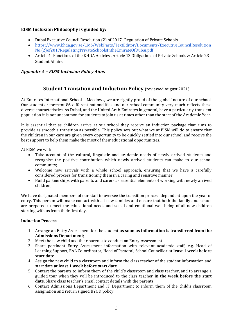#### **EISM Inclusion Philosophy is guided by:**

- Dubai Executive Council Resolution (2) of 2017- Regulation of Private Schools
- [https://www.khda.gov.ae/CMS/WebParts/TextEditor/Documents/ExecutiveCouncilResolution](https://www.khda.gov.ae/CMS/WebParts/TextEditor/Documents/ExecutiveCouncilResolutionNo.(2)of2017RegulatingPrivateSchoolsIntheEmirateOfDubai.pdf) [No.\(2\)of2017RegulatingPrivateSchoolsIntheEmirateOfDubai.pdf](https://www.khda.gov.ae/CMS/WebParts/TextEditor/Documents/ExecutiveCouncilResolutionNo.(2)of2017RegulatingPrivateSchoolsIntheEmirateOfDubai.pdf)
- Article 4 -Functions of the KHDA Articles , Article 13 Obligations of Private Schools & Article 23 Student Affairs

#### *Appendix A – EISM Inclusion Policy Aims*

## **Student Transition and Induction Policy** (reviewed August 2021)

At Emirates International School – Meadows, we are rightly proud of the 'global' nature of our school. Our students represent 86 different nationalities and our school community very much reflects these diverse characteristics. As Dubai, and the United Arab Emirates in general, have a particularly transient population it is not uncommon for students to join us at times other than the start of the Academic Year.

It is essential that as children arrive at our school they receive an induction package that aims to provide as smooth a transition as possible. This policy sets out what we at EISM will do to ensure that the children in our care are given every opportunity to be quickly settled into our school and receive the best support to help them make the most of their educational opportunities.

At EISM we will:

- Take account of the cultural, linguistic and academic needs of newly arrived students and recognise the positive contribution which newly arrived students can make to our school community;
- Welcome new arrivals with a whole school approach, ensuring that we have a carefully considered process for transitioning them in a caring and sensitive manner;
- Build partnerships with parents and carers as essential elements of working with newly arrived children;

We have designated members of our staff to oversee the transition process dependent upon the year of entry. This person will make contact with all new families and ensure that both the family and school are prepared to meet the educational needs and social and emotional well-being of all new children starting with us from their first day.

#### **Induction Process**

- 1. Arrange an Entry Assessment for the student **as soon as information is transferred from the Admissions Department**;
- 2. Meet the new child and their parents to conduct an Entry Assessment
- 3. Share pertinent Entry Assessment information with relevant academic staff, e.g. Head of Learning Support, EAL Co-ordinator, Head of Pastoral, School Councillor **at least 1 week before start date**
- 4. Assign the new child to a classroom and inform the class teacher of the student information and start date **at least 1 week before start date**
- 5. Contact the parents to inform them of the child's classroom and class teacher, and to arrange a guided tour when they will be introduced to the class teacher **in the week before the start date**. Share class teacher's email contact details with the parents
- 6. Contact Admissions Department and IT Department to inform them of the child's classroom assignation and return signed BYOD policy.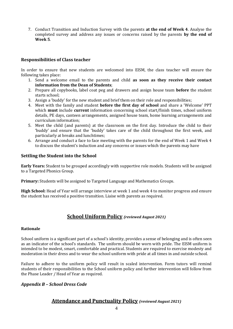7. Conduct Transition and Induction Survey with the parents **at the end of Week 4**. Analyse the completed survey and address any issues or concerns raised by the parents **by the end of Week 5**.

#### **Responsibilities of Class teacher**

In order to ensure that new students are welcomed into EISM, the class teacher will ensure the following takes place:

- 1. Send a welcome email to the parents and child **as soon as they receive their contact information from the Dean of Students**;
- 2. Prepare all copybooks, label coat peg and drawers and assign house team **before** the student starts school;
- 3. Assign a 'buddy' for the new student and brief them on their role and responsibilities;
- 4. Meet with the family and student **before the first day of school** and share a 'Welcome' PPT which **must** include **current** information concerning school start/finish times, school uniform details, PE days, canteen arrangements, assigned house team, home learning arrangements and curriculum information;
- 5. Meet the child (and parents) at the classroom on the first day. Introduce the child to their 'buddy' and ensure that the 'buddy' takes care of the child throughout the first week, and particularly at breaks and lunchtimes;
- 6. Arrange and conduct a face to face meeting with the parents for the end of Week 1 and Week 4 to discuss the student's induction and any concerns or issues which the parents may have

#### **Settling the Student into the School**

**Early Years:** Student to be grouped accordingly with supportive role models. Students will be assigned to a Targeted Phonics Group.

**Primary:** Students will be assigned to Targeted Language and Mathematics Groups.

**High School:** Head of Year will arrange interview at week 1 and week 4 to monitor progress and ensure the student has received a positive transition. Liaise with parents as required.

#### **School Uniform Policy** *(reviewed August 2021)*

#### **Rationale**

School uniform is a significant part of a school's identity, provides a sense of belonging and is often seen as an indicator of the school's standards. The uniform should be worn with pride. The EISM uniform is intended to be modest, smart, comfortable and practical. Students are required to exercise modesty and moderation in their dress and to wear the school uniform with pride at all times in and outside school.

Failure to adhere to the uniform policy will result in scaled intervention. Form tutors will remind students of their responsibilities to the School uniform policy and further intervention will follow from the Phase Leader / Head of Year as required.

#### *Appendix B – School Dress Code*

#### **Attendance and Punctuality Policy** *(reviewed August 2021)*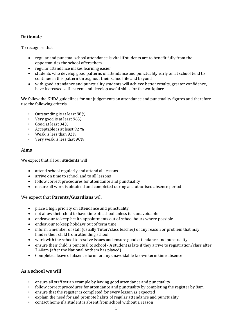#### **Rationale**

To recognise that

- regular and punctual school attendance is vital if students are to benefit fully from the opportunities the school offers them
- regular attendance makes learning easier
- students who develop good patterns of attendance and punctuality early on at school tend to continue in this pattern throughout their school life and beyond
- with good attendance and punctuality students will achieve better results, greater confidence, have increased self-esteem and develop useful skills for the workplace

We follow the KHDA guidelines for our judgements on attendance and punctuality figures and therefore use the following criteria

- Outstanding is at least 98%
- Very good is at least 96%
- Good at least 94%
- Acceptable is at least 92 %
- Weak is less than 92%
- Very weak is less that 90%

#### **Aims**

We expect that all our **students** will

- attend school regularly and attend all lessons
- arrive on time to school and to all lessons
- follow correct procedures for attendance and punctuality
- ensure all work is obtained and completed during an authorised absence period

#### We expect that **Parents/Guardians** will

- place a high priority on attendance and punctuality
- not allow their child to have time off school unless it is unavoidable
- endeavour to keep health appointments out of school hours where possible
- endeavour to keep holidays out of term time
- inform a member of staff (usually Tutor/class teacher) of any reason or problem that may hinder their child from attending school
- work with the school to resolve issues and ensure good attendance and punctuality
- ensure their child is punctual to school A student is late if they arrive to registration/class after 7.40am (after the National Anthem has played)
- Complete a leave of absence form for any unavoidable known term time absence

#### **As a school we will**

- ensure all staff set an example by having good attendance and punctuality
- follow correct procedures for attendance and punctuality by completing the register by 8am
- ensure that the register is completed for every lesson as expected
- explain the need for and promote habits of regular attendance and punctuality
- contact home if a student is absent from school without a reason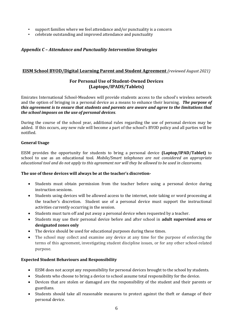- support families where we feel attendance and/or punctuality is a concern
- celebrate outstanding and improved attendance and punctuality

#### *Appendix C – Attendance and Punctuality Intervention Strategies*

#### **EISM School BYOD/Digital Learning Parent and Student Agreement** *(reviewed August 2021)*

#### **For Personal Use of Student-Owned Devices (Laptops/IPADS/Tablets)**

Emirates International School-Meadows will provide students access to the school's wireless network and the option of bringing in a personal device as a means to enhance their learning. *The purpose of this agreement is to ensure that students and parents are aware and agree to the limitations that the school imposes on the use of personal devices*.

During the course of the school year, additional rules regarding the use of personal devices may be added. If this occurs, any new rule will become a part of the school's BYOD policy and all parties will be notified.

#### **General Usage**

EISM provides the opportunity for students to bring a personal device **(Laptop/IPAD/Tablet)** to school to use as an educational tool. *Mobile/Smart telephones are not considered an appropriate educational tool and do not apply to this agreement nor will they be allowed to be used in classrooms.*

#### **The use of these devices will always be at the teacher's discretion-**

- Students must obtain permission from the teacher before using a personal device during instruction sessions.
- Students using devices will be allowed access to the internet, note taking or word processing at the teacher's discretion. Student use of a personal device must support the instructional activities currently occurring in the session.
- Students must turn off and put away a personal device when requested by a teacher.
- Students may use their personal device before and after school in **adult supervised area or designated zones only**
- The device should be used for educational purposes during these times.
- The school may collect and examine any device at any time for the purpose of enforcing the terms of this agreement, investigating student discipline issues, or for any other school-related purpose.

#### **Expected Student Behaviours and Responsibility**

- EISM does not accept any responsibility for personal devices brought to the school by students.
- Students who choose to bring a device to school assume total responsibility for the device.
- Devices that are stolen or damaged are the responsibility of the student and their parents or guardians.
- Students should take all reasonable measures to protect against the theft or damage of their personal device.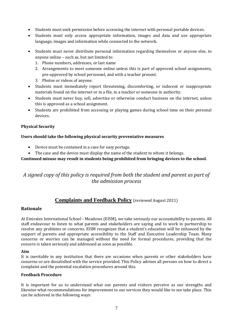- Students must seek permission before accessing the internet with personal portable devices.
- Students must only access appropriate information, images and data and use appropriate language, images and information while connected to the network.
- Students must never distribute personal information regarding themselves or anyone else, to anyone online – such as, but not limited to:
	- 1. Phone numbers, addresses, or last name
	- 2. Arrangements to meet someone online unless this is part of approved school assignments, pre-approved by school personnel, and with a teacher present.
	- 3. Photos or videos of anyone.
- Students must immediately report threatening, discomforting, or indecent or inappropriate materials found on the internet or in a file, to a teacher or someone in authority.
- Students must never buy, sell, advertise or otherwise conduct business on the internet, unless this is approved as a school assignment.
- Students are prohibited from accessing or playing games during school time on their personal devices.

#### **Physical Security**

#### **Users should take the following physical security preventative measures**

- Device must be contained in a case for easy portage.
- The case and the device must display the name of the student to whom it belongs.

#### **Continued misuse may result in students being prohibited from bringing devices to the school.**

## *A signed copy of this policy is required from both the student and parent as part of the admission process*

#### **Complaints and Feedback Policy** (reviewed August 2021)

#### **Rationale**

At Emirates International School - Meadows (EISM), we take seriously our accountability to parents. All staff endeavour to listen to what parents and stakeholders are saying and to work in partnership to resolve any problems or concerns. EISM recognizes that a student's education will be enhanced by the support of parents and appropriate accessibility to the Staff and Executive Leadership Team. Many concerns or worries can be managed without the need for formal procedures, providing that the concern is taken seriously and addressed as soon as possible.

#### **Aim**

It is inevitable in any institution that there are occasions when parents or other stakeholders have concerns or are dissatisfied with the service provided. This Policy advises all persons on how to direct a complaint and the potential escalation procedures around this.

#### **Feedback Procedure**

It is important for us to understand what our parents and visitors perceive as our strengths and likewise what recommendations for improvement to our services they would like to see take place. This can be achieved in the following ways: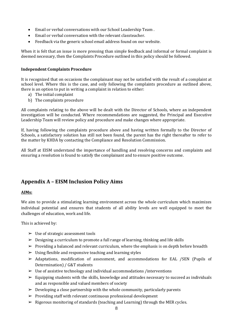- Email or verbal conversations with our School Leadership Team .
- Email or verbal conversation with the relevant classteacher.
- Feedback via the generic school email address found on our website.

When it is felt that an issue is more pressing than simple feedback and informal or formal complaint is deemed necessary, then the Complaints Procedure outlined in this policy should be followed.

#### **Independent Complaints Procedure**

It is recognized that on occasions the complainant may not be satisfied with the result of a complaint at school level. Where this is the case, and only following the complaints procedure as outlined above, there is an option to put in writing a complaint in relation to either:

- a) The initial complaint
- b) The complaints procedure

All complaints relating to the above will be dealt with the Director of Schools, where an independent investigation will be conducted. Where recommendations are suggested, the Principal and Executive Leadership Team will review policy and procedure and make changes where appropriate.

If, having following the complaints procedure above and having written formally to the Director of Schools, a satisfactory solution has still not been found, the parent has the right thereafter to refer to the matter by KHDA by contacting the Compliance and Resolution Commission.

All Staff at EISM understand the importance of handling and resolving concerns and complaints and ensuring a resolution is found to satisfy the complainant and to ensure positive outcome.

## **Appendix A – EISM Inclusion Policy Aims**

#### **AIMs:**

We aim to provide a stimulating learning environment across the whole curriculum which maximizes individual potential and ensures that students of all ability levels are well equipped to meet the challenges of education, work and life.

This is achieved by:

- $\triangleright$  Use of strategic assessment tools
- $\triangleright$  Designing a curriculum to promote a full range of learning, thinking and life skills
- $\triangleright$  Providing a balanced and relevant curriculum, where the emphasis is on depth before breadth
- $\triangleright$  Using flexible and responsive teaching and learning styles
- ➢ Adaptations, modification of assessment, and accommodations for EAL /SEN (Pupils of Determination) / G&T students
- $\triangleright$  Use of assistive technology and individual accommodations /interventions
- $\triangleright$  Equipping students with the skills, knowledge and attitudes necessary to succeed as individuals and as responsible and valued members of society
- $\triangleright$  Developing a close partnership with the whole community, particularly parents
- $\triangleright$  Providing staff with relevant continuous professional development
- $\triangleright$  Rigorous monitoring of standards (teaching and Learning) through the MER cycles.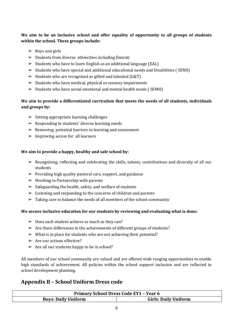#### **We aim to be an inclusive school and offer equality of opportunity to all groups of students within the school. These groups include:**

- $\triangleright$  Boys and girls
- $\triangleright$  Students from diverse ethnicities including Emirati
- $\triangleright$  Students who have to learn English as an additional language (EAL)
- ➢ Students who have special and additional educational needs and Disabilities ( SEND)
- $\triangleright$  Students who are recognised as gifted and talented (G&T)
- $\triangleright$  Students who have medical, physical or sensory impairments
- ➢ Students who have social emotional and mental health needs ( SEMH)

#### **We aim to provide a differentiated curriculum that meets the needs of all students, individuals and groups by:**

- $\triangleright$  Setting appropriate learning challenges
- $\triangleright$  Responding to students' diverse learning needs
- $\triangleright$  Removing potential barriers to learning and assessment
- $\triangleright$  Improving access for all learners

#### **We aim to provide a happy, healthy and safe school by:**

- $\triangleright$  Recognising, reflecting and celebrating the skills, talents, contributions and diversity of all our students
- $\triangleright$  Providing high quality pastoral care, support, and guidance
- $\triangleright$  Working in Partnership with parents
- $\geq$  Safeguarding the health, safety, and welfare of students
- $\triangleright$  Listening and responding to the concerns of children and parents
- $\triangleright$  Taking care to balance the needs of all members of the school community

#### **We secure inclusive education for our students by reviewing and evaluating what is done:**

- $\geq 0$  Does each student achieve as much as they can?
- $\triangleright$  Are there differences in the achievements of different groups of students?
- $\triangleright$  What is in place for students who are not achieving their potential?
- $\triangleright$  Are our actions effective?
- $\triangleright$  Are all our students happy to be in school?

All members of our school community are valued and are offered wide ranging opportunities to enable high standards of achievement. All policies within the school support inclusion and are reflected in school development planning.

## **Appendix B – School Uniform Dress code**

| <b>Primary School Dress Code EY1 - Year 6</b> |                             |  |
|-----------------------------------------------|-----------------------------|--|
| <b>Boys: Daily Uniform</b>                    | <b>Girls: Daily Uniform</b> |  |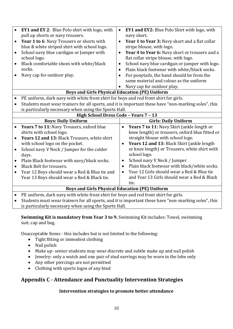| $\bullet$<br>$\bullet$                | <b>EY1 and EY 2:</b> Blue Polo shirt with logo, with<br>pull up shorts or navy trousers.<br>Year 1 to 6: Navy Trousers or shorts with<br>blue & white striped shirt with school logo.<br>School navy blue cardigan or Jumper with<br>school logo.<br>Black comfortable shoes with white/black<br>socks.<br>Navy cap for outdoor play. | EY1 and EY2: Blue Polo Shirt with logo, with<br>$\bullet$<br>navy skort.<br>Year 1 to Year 3: Navy skort and a flat collar<br>$\bullet$<br>stripe blouse, with logo.<br>Year 4 to Year 6: Navy skort or trousers and a<br>$\bullet$<br>flat collar stripe blouse, with logo.<br>School navy blue cardigan or jumper with logo.<br>$\bullet$<br>Plain black footwear with white/black socks.<br>$\bullet$<br>For ponytails, the band should be from the<br>$\bullet$<br>same material and colour as the uniform<br>Navy cap for outdoor play. |  |
|---------------------------------------|---------------------------------------------------------------------------------------------------------------------------------------------------------------------------------------------------------------------------------------------------------------------------------------------------------------------------------------|----------------------------------------------------------------------------------------------------------------------------------------------------------------------------------------------------------------------------------------------------------------------------------------------------------------------------------------------------------------------------------------------------------------------------------------------------------------------------------------------------------------------------------------------|--|
|                                       | <b>Boys and Girls Physical Education (PE) Uniform</b>                                                                                                                                                                                                                                                                                 |                                                                                                                                                                                                                                                                                                                                                                                                                                                                                                                                              |  |
|                                       | PE uniform, dark navy with white front shirt for boys and red front shirt for girls.                                                                                                                                                                                                                                                  |                                                                                                                                                                                                                                                                                                                                                                                                                                                                                                                                              |  |
| $\bullet$                             | Students must wear trainers for all sports, and it is important these have "non-marking soles", this                                                                                                                                                                                                                                  |                                                                                                                                                                                                                                                                                                                                                                                                                                                                                                                                              |  |
|                                       | is particularly necessary when using the Sports Hall.                                                                                                                                                                                                                                                                                 |                                                                                                                                                                                                                                                                                                                                                                                                                                                                                                                                              |  |
| High School Dress Code - Years 7 - 13 |                                                                                                                                                                                                                                                                                                                                       |                                                                                                                                                                                                                                                                                                                                                                                                                                                                                                                                              |  |
|                                       |                                                                                                                                                                                                                                                                                                                                       |                                                                                                                                                                                                                                                                                                                                                                                                                                                                                                                                              |  |
|                                       | <b>Boys: Daily Uniform</b>                                                                                                                                                                                                                                                                                                            | <b>Girls: Daily Uniform</b>                                                                                                                                                                                                                                                                                                                                                                                                                                                                                                                  |  |
|                                       | Years 7 to 11: Navy Trousers, oxford blue                                                                                                                                                                                                                                                                                             | Years 7 to 11: Navy Skirt (ankle length or<br>$\bullet$                                                                                                                                                                                                                                                                                                                                                                                                                                                                                      |  |
|                                       | shirts with school logo.                                                                                                                                                                                                                                                                                                              | knee length) or trousers, oxford blue fitted or                                                                                                                                                                                                                                                                                                                                                                                                                                                                                              |  |
|                                       | Years 12 and 13: Black Trousers, white shirt                                                                                                                                                                                                                                                                                          | straight blouse with school logo.                                                                                                                                                                                                                                                                                                                                                                                                                                                                                                            |  |
|                                       | with school logo on the pocket.                                                                                                                                                                                                                                                                                                       | Years 12 and 13: Black Skirt (ankle length<br>$\bullet$                                                                                                                                                                                                                                                                                                                                                                                                                                                                                      |  |
| $\bullet$                             | School navy V Neck / Jumper for the colder                                                                                                                                                                                                                                                                                            | or knee length) or Trousers, white shirt with                                                                                                                                                                                                                                                                                                                                                                                                                                                                                                |  |
|                                       | days.                                                                                                                                                                                                                                                                                                                                 | school logo.                                                                                                                                                                                                                                                                                                                                                                                                                                                                                                                                 |  |
| $\bullet$                             | Plain Black footwear with navy/black socks.                                                                                                                                                                                                                                                                                           | School navy V Neck / Jumper<br>$\bullet$                                                                                                                                                                                                                                                                                                                                                                                                                                                                                                     |  |
| $\bullet$                             | <b>Black Belt for trousers.</b>                                                                                                                                                                                                                                                                                                       | Plain black footwear with black/white socks.<br>$\bullet$                                                                                                                                                                                                                                                                                                                                                                                                                                                                                    |  |
| $\bullet$                             | Year 12 Boys should wear a Red & Blue tie and                                                                                                                                                                                                                                                                                         | Year 12 Girls should wear a Red & Blue tie<br>$\bullet$                                                                                                                                                                                                                                                                                                                                                                                                                                                                                      |  |
|                                       | Year 13 Boys should wear a Red & Black tie.                                                                                                                                                                                                                                                                                           | and Year 13 Girls should wear a Red & Black<br>tie.                                                                                                                                                                                                                                                                                                                                                                                                                                                                                          |  |
|                                       |                                                                                                                                                                                                                                                                                                                                       |                                                                                                                                                                                                                                                                                                                                                                                                                                                                                                                                              |  |
|                                       | <b>Boys and Girls Physical Education (PE) Uniform</b><br>PE uniform, dark navy with white front shirt for boys and red front shirt for girls.                                                                                                                                                                                         |                                                                                                                                                                                                                                                                                                                                                                                                                                                                                                                                              |  |

• Students must wear trainers for all sports, and it is important these have "non-marking soles", this is particularly necessary when using the Sports Hall.

**Swimming Kit is mandatory from Year 3 to 9.** Swimming Kit includes: Towel, swimming suit, cap and bag.

Unacceptable Items - this includes but is not limited to the following:

- Tight fitting or immodest clothing
- Nail polish
- Make up- senior students may wear discrete and subtle make up and nail polish
- Jewelry- only a watch and one pair of stud earrings may be worn in the lobe only
- Any other piercings are not permitted
- Clothing with sports logos of any kind

## **Appendix C - Attendance and Punctuality Intervention Strategies**

#### **Intervention strategies to promote better attendance**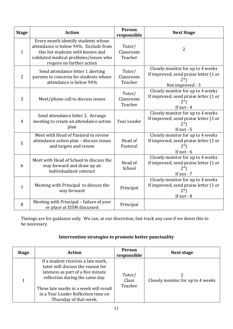| <b>Stage</b>   | <b>Action</b>                                                                                                                                                                           | Person<br>responsible          | <b>Next Stage</b>                                                                                  |
|----------------|-----------------------------------------------------------------------------------------------------------------------------------------------------------------------------------------|--------------------------------|----------------------------------------------------------------------------------------------------|
| $\mathbf{1}$   | Every month identify students whose<br>attendance is below 94%. Exclude from<br>this list students with known and<br>validated medical problems/issues who<br>require no further action | Tutor/<br>Classroom<br>Teacher | $\overline{2}$                                                                                     |
| $\overline{2}$ | Send attendance letter 1 alerting<br>parents to concerns for students whose<br>attendance is below 94%                                                                                  | Tutor/<br>Classroom<br>Teacher | Closely monitor for up to 4 weeks<br>If improved, send praise letter (1 or<br>Not improved - 3     |
| 3              | Meet/phone call to discuss issues                                                                                                                                                       | Tutor/<br>Classroom<br>Teacher | Closely monitor for up to 4 weeks<br>If improved, send praise letter (1 or<br>$2^*$<br>If not - 4  |
| $\overline{4}$ | Send attendance letter 2. Arrange<br>meeting to create an attendance action<br>plan                                                                                                     | Year Leader                    | Closely monitor for up to 4 weeks<br>If improved, send praise letter (1 or<br>$2*)$<br>If not - 5  |
| 5              | Meet with Head of Pastoral to review<br>attendance action plan - discuss issues<br>and targets and renew                                                                                | Head of<br>Pastoral            | Closely monitor for up to 4 weeks<br>If improved, send praise letter (1 or<br>$2^*$<br>If not $-6$ |
| 6              | Meet with Head of School to discuss the<br>way forward and draw up an<br>individualised contract                                                                                        | Head of<br>School              | Closely monitor for up to 4 weeks<br>If improved, send praise letter (1 or<br>If not - 7           |
| 7              | Meeting with Principal to discuss the<br>way forward                                                                                                                                    | Principal                      | Closely monitor for up to 4 weeks<br>If improved, send praise letter (1 or<br>$2^*$<br>If not - 8  |
| 8              | Meeting with Principal - failure of year<br>or place at EISM discussed                                                                                                                  | Principal                      |                                                                                                    |

Timings are for guidance only. We can, at our discretion, fast track any case if we deem this to be necessary.

## **Intervention strategies to promote better punctuality**

| <b>Stage</b> | <b>Action</b>                                                                                                                                                                                                                                              | Person<br>responsible      | Next stage                        |
|--------------|------------------------------------------------------------------------------------------------------------------------------------------------------------------------------------------------------------------------------------------------------------|----------------------------|-----------------------------------|
|              | If a student receives a late mark,<br>tutor will discuss the reason for<br>lateness as part of a five minute<br>reflection during the same day.<br>Three late marks in a week will result<br>in a Year Leader Reflection time on<br>Thursday of that week. | Tutor/<br>Class<br>Teacher | Closely monitor for up to 4 weeks |